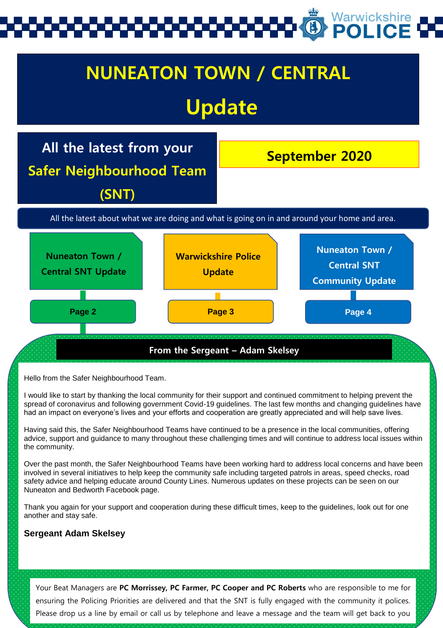# Warwickshire

## **From the Sergeant – Adam Skelsey NUNEATON TOWN / CENTRAL Update September 2020 All the latest from your Safer Neighbourhood Team (SNT) Nuneaton Town / Central SNT Update Warwickshire Police Update Nuneaton Town / Central SNT Community Update** All the latest about what we are doing and what is going on in and around your home and area. **Page 2 Page 3 Page 4**

Hello from the Safer Neighbourhood Team.

I would like to start by thanking the local community for their support and continued commitment to helping prevent the spread of coronavirus and following government Covid-19 guidelines. The last few months and changing guidelines have had an impact on everyone's lives and your efforts and cooperation are greatly appreciated and will help save lives.

Having said this, the Safer Neighbourhood Teams have continued to be a presence in the local communities, offering advice, support and guidance to many throughout these challenging times and will continue to address local issues within the community.

Over the past month, the Safer Neighbourhood Teams have been working hard to address local concerns and have been involved in several initiatives to help keep the community safe including targeted patrols in areas, speed checks, road safety advice and helping educate around County Lines. Numerous updates on these projects can be seen on our Nuneaton and Bedworth Facebook page.

Thank you again for your support and cooperation during these difficult times, keep to the guidelines, look out for one another and stay safe.

#### **Sergeant Adam Skelsey**

Your Beat Managers are **PC Morrissey, PC Farmer, PC Cooper and PC Roberts** who are responsible to me for ensuring the Policing Priorities are delivered and that the SNT is fully engaged with the community it polices. Please drop us a line by email or call us by telephone and leave a message and the team will get back to you

concerning any issues you may have. See page 3 for all the details on how you can contact your SNT.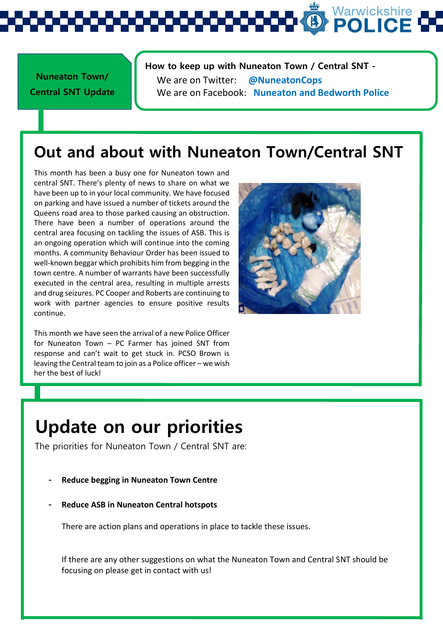# Warwickshire

**Nuneaton Town/ Central SNT Update**  **How to keep up with Nuneaton Town / Central SNT -** We are on Twitter: **@NuneatonCops** We are on Facebook: **Nuneaton and Bedworth Police**

### **Out and about with Nuneaton Town/Central SNT**

This month has been a busy one for Nuneaton town and central SNT. There's plenty of news to share on what we have been up to in your local community. We have focused on parking and have issued a number of tickets around the Queens road area to those parked causing an obstruction. There have been a number of operations around the central area focusing on tackling the issues of ASB. This is an ongoing operation which will continue into the coming months. A community Behaviour Order has been issued to well-known beggar which prohibits him from begging in the town centre. A number of warrants have been successfully executed in the central area, resulting in multiple arrests and drug seizures. PC Cooper and Roberts are continuing to work with partner agencies to ensure positive results continue.

This month we have seen the arrival of a new Police Officer for Nuneaton Town – PC Farmer has joined SNT from response and can't wait to get stuck in. PCSO Brown is leaving the Central team to join as a Police officer – we wish her the best of luck!



# **Update on our priorities**

The priorities for Nuneaton Town / Central SNT are:

- **- Reduce begging in Nuneaton Town Centre**
- **- Reduce ASB in Nuneaton Central hotspots**

There are action plans and operations in place to tackle these issues.

If there are any other suggestions on what the Nuneaton Town and Central SNT should be focusing on please get in contact with us!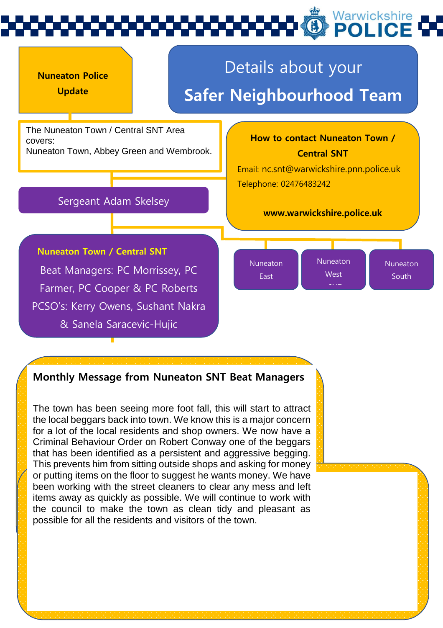



#### **Monthly Message from Nuneaton SNT Beat Managers**

The town has been seeing more foot fall, this will start to attract the local beggars back into town. We know this is a major concern for a lot of the local residents and shop owners. We now have a Criminal Behaviour Order on Robert Conway one of the beggars that has been identified as a persistent and aggressive begging. This prevents him from sitting outside shops and asking for money or putting items on the floor to suggest he wants money. We have been working with the street cleaners to clear any mess and left items away as quickly as possible. We will continue to work with the council to make the town as clean tidy and pleasant as possible for all the residents and visitors of the town.